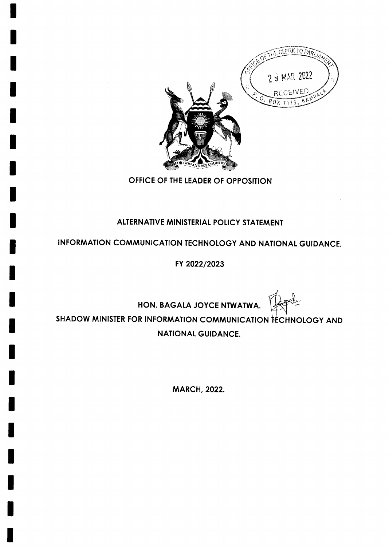

OFFICE OF THE LEADER OF OPPOSITION

## ALTERNATIVE MINISTERIAL POLICY STATEMENT

### INFORMATION COMMUNICATION TECHNOLOGY AND NATIONAL GUIDANCE.

FY 2022/2023

HON. BAGALA JOYCE NTWATWA.

SHADOW MINISTER FOR INFORMATION COMMUNICATION HECHNOLOGY AND **NATIONAL GUIDANCE.** 

**MARCH, 2022.**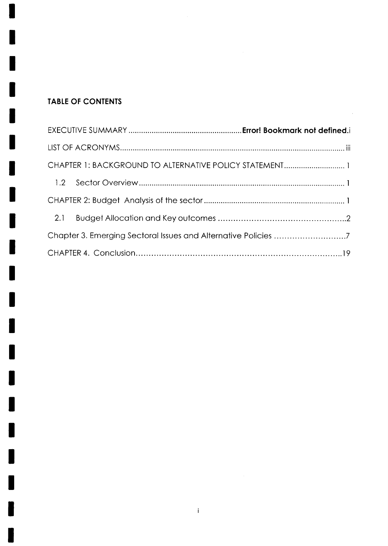# **TABLE OF CONTENTS**

| CHAPTER 1: BACKGROUND TO ALTERNATIVE POLICY STATEMENT 1        |  |
|----------------------------------------------------------------|--|
|                                                                |  |
|                                                                |  |
|                                                                |  |
| Chapter 3. Emerging Sectoral Issues and Alternative Policies 7 |  |
|                                                                |  |

 $\sim$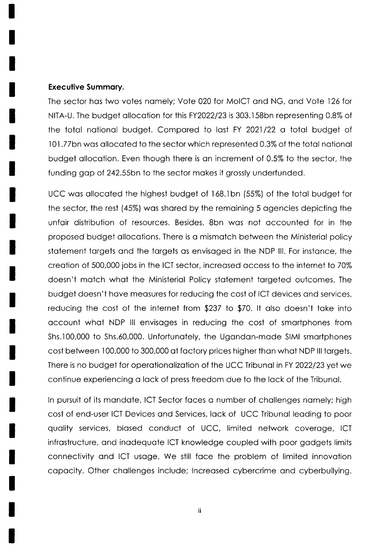#### Execulive Summory.

The sector hos two votes nomely; Vote 020 for MoICT ond NG, ond Vote 126 for NITA-U. The budget allocation for this FY2022/23 is 303.158bn representing 0.8% of the totol notionol budget. Compored to lost FY 2021/22 o totol budget of 101.77bn was allocated to the sector which represented 0.3% of the total national budget ollocotion. Even though there is on increment of 0.5% to the sector, the funding gop of 242.55bn to the sector mokes it grossly underfunded.

UCC wos ollocoted the highest budget of l68.lbn (55%) of the totol budget for the sector, the rest (45%) wos shored by the remoining 5 ogencies depicting the unfoir distribution of resources. Besides, 8bn wos not occounted for in the proposed budget ollocotions. There is o mismotch between the Ministeriol policy stotement torgets ond the torgets os envisoged in the NDP lll. For instonce, the creotion of 500,000 jobs in the ICT sector, increosed occess to the internet Io 70% doesn't motch whot the Ministeriol Policy stotement torgeted outcomes. The budget doesn't have measures for reducing the cost of ICT devices and services, reducing the cost of the internet from \$237 to \$70. lt olso doesn't toke into occount whot NDP lll envisoges in reducing the cost of smortphones from Shs.,l00,000 to Shs.60,000. Unfortunotely, the Ugondon-mode SlMl smortphones cost between 100,000 to 300,000 of foctory prices higher thon whot NDP lll torgets. There is no budget for operationalization of the UCC Tribunal in FY 2022/23 yet we continue experiencing a lack of press freedom due to the lack of the Tribunal.

ln pursuit of its mondote, ICT Sector foces o number of chollenges nomely; high cost of end-user ICT Devices and Services, lack of UCC Tribunal leading to poor quolity services, biosed conduct of UCC, limited network coveroge, ICT infrostructure, ond inodequote ICT knowledge coupled with poor godgets limits connectivity ond ICT usoge. We still foce the problem of limited innovotion copocity. Other chollenges include; lncreosed cybercrime ond cyberbullying.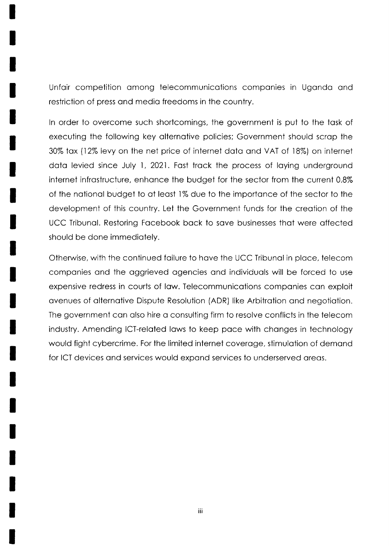Unfair competition among telecommunications companies in Uganda and restriction of press ond medio freedoms in the country.

ln order to overcome such shortcomings, the government is put to the tosk of executing the following key alternative policies; Government should scrap the 30% tox (12% levy on the net price of internet doto ond VAT of 18%) on internet data levied since July 1, 2021. Fast track the process of laying underground internet infrastructure, enhance the budget for the sector from the current 0.8% of the notionol budget to of leost 1% due to the importonce of the sector to the development of this country. Let the Government funds for the creotion of the UCC Tribunol. Restoring Focebook bock to sove businesses thot were offected should be done immediotely.

Otherwise, with the continued foilure to hove the UCC Tribunol in ploce, telecom componies ond the oggrieved ogencies ond individuols will be forced to use expensive redress in courts of law. Telecommunications companies can exploit ovenues of olternotive Dispute Resolution (ADR) like Arbitrotion ond negotiotion. The government con olso hire o consulting firm to resolve conflicts in the telecom industry. Amending ICT-related laws to keep pace with changes in technology would fight cybercrime. For the limited internet coverage, stimulation of demand for ICT devices ond services would expond services to underserved oreos.

iii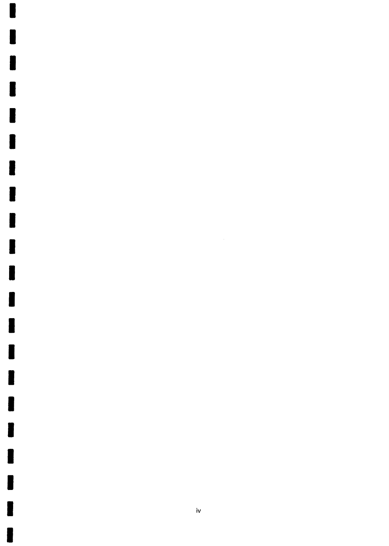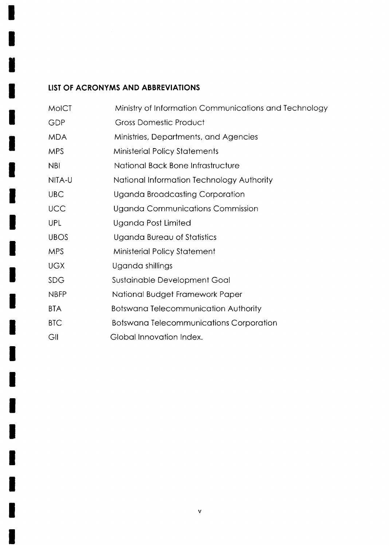# LIST OF ACRONYMS AND ABBREVIATIONS

| <b>MoICT</b> | Ministry of Information Communications and Technology |
|--------------|-------------------------------------------------------|
| GDP          | <b>Gross Domestic Product</b>                         |
| <b>MDA</b>   | Ministries, Departments, and Agencies                 |
| <b>MPS</b>   | <b>Ministerial Policy Statements</b>                  |
| <b>NBI</b>   | National Back Bone Infrastructure                     |
| NITA-U       | National Information Technology Authority             |
| <b>UBC</b>   | Uganda Broadcasting Corporation                       |
| <b>UCC</b>   | Uganda Communications Commission                      |
| <b>UPL</b>   | Uganda Post Limited                                   |
| <b>UBOS</b>  | Uganda Bureau of Statistics                           |
| <b>MPS</b>   | <b>Ministerial Policy Statement</b>                   |
| <b>UGX</b>   | Uganda shillings                                      |
| <b>SDG</b>   | Sustainable Development Goal                          |
| <b>NBFP</b>  | National Budget Framework Paper                       |
| <b>BTA</b>   | <b>Botswana Telecommunication Authority</b>           |
| <b>BTC</b>   | <b>Botswana Telecommunications Corporation</b>        |
| GII          | Global Innovation Index.                              |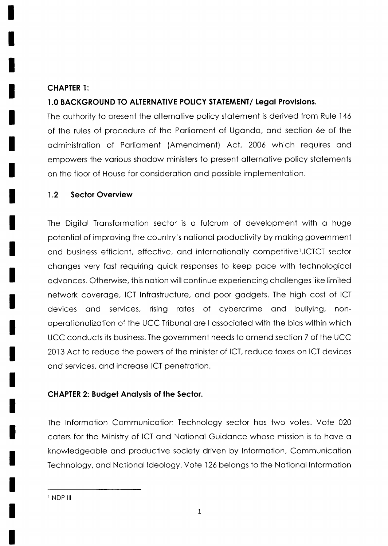### CHAPTER 1:

### 1.0 BACKGROUND TO ALTERNATIVE POLICY STATEMENT/ Lego! Provisions.

The authority to present the alternative policy statement is derived from Rule 146 of the rules of procedure of the Parliament of Uganda, and section 6e of the odministrotion of Porlioment (Amendment) Act, 2006 which requires ond empowers the vorious shodow ministers to present olternotive policy stotements on the floor of House for considerotion ond possible implementotion.

### 1.2 Sector Overview

The Digital Transformation sector is a fulcrum of development with a huge potentiol of improving the country's notionol productivity by moking government and business efficient, effective, and internationally competitive<sup>1</sup>.ICTCT sector changes very fast requiring quick responses to keep pace with technological odvonces. Otherwise, this notion willcontinue experiencing chollenges like limited network coveroge, ICT lnfrostructure, ond poor godgets. The high cost of ICT devices ond services, rising rotes of cybercrime ond bullying, nonoperotionolizotion of the UCC Tribunol ore I ossocioted with the bios within which UCC conducts its business. The government needs to omend section 7 of the UCC 2013 Act to reduce the powers of the minister of lCT, reduce toxes on ICT devices ond services, ond increose ICT penetrotion.

### CHAPTER 2: Budget Anolysis of the Sector.

The Information Communication Technology sector has two votes. Vote 020 coters for the Ministry of ICT ond Notionol Guidonce whose mission is to hove o knowledgeoble ond productive society driven by lnformotion, Communicotion Technology, and National Ideology. Vote 126 belongs to the National Information

I NDP III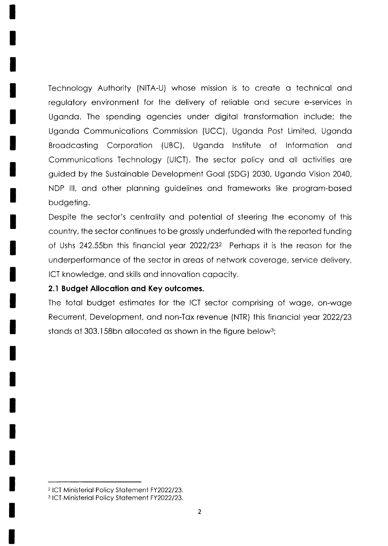Technology Authority (NITA-U) whose mission is to create a technical and regulatory environment for the delivery of reliable and secure e-services in Uganda. The spending agencies under digital transformation include; the Uganda Communications Commission (UCC), Uganda Post Limited, Uganda Broadcasting Corporation (UBC), Uganda Institute of Information and Communications Technology (UICT). The sector policy and all activities are guided by the Sustainable Development Goal (SDG) 2030, Uganda Vision 2040, NDP III, and other planning guidelines and frameworks like program-based budgeting.

Despite the sector's centrality and potential of steering the economy of this country, the sector continues to be grossly underfunded with the reported funding of Ushs 242.55bn this financial year 2022/23<sup>2</sup> Perhaps it is the reason for the underperformance of the sector in areas of network coverage, service delivery, ICT knowledge, and skills and innovation capacity.

#### 2.1 Budget Allocation and Key outcomes.

The total budget estimates for the ICT sector comprising of wage, on-wage Recurrent, Development, and non-Tax revenue (NTR) this financial year 2022/23 stands at 303.158bn allocated as shown in the figure below<sup>3</sup>;

<sup>&</sup>lt;sup>2</sup> ICT Ministerial Policy Statement FY2022/23.

<sup>&</sup>lt;sup>3</sup> ICT Ministerial Policy Statement FY2022/23.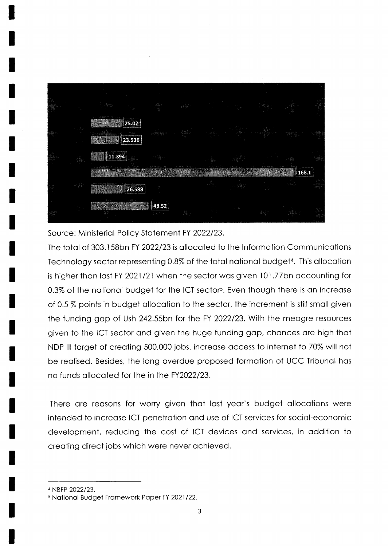

Source: Ministerial Policy Statement FY 2022/23.

The total of 303.158bn FY 2022/23 is allocated to the Information Communications Technology sector representing 0.8% of the total national budget<sup>4</sup>. This allocation is higher than last FY 2021/21 when the sector was given 101.77bn accounting for 0.3% of the national budget for the ICT sector<sup>5</sup>. Even though there is an increase of 0.5 % points in budget ollocotion to the sector, the increment is still smoll given the funding gop of Ush 242.55bn for the FY 2022/23. With the meogre resources given to the ICT sector ond given the huge funding gop, chonces ore high thot NDP III target of creating 500,000 jobs, increase access to internet to 70% will not be reolised. Besides, the long overdue proposed formotion of UCC Tribunol hos no funds ollocoted for the in the FY2022/23.

There are reasons for worry given that last year's budget allocations were intended to increose ICT penetrotion ond use of ICT services for sociol-economic development, reducing the cost of ICT devices ond services, in oddition to creoting direct jobs which were never ochieved.

<sup>4</sup>NBFP 2022/23.

<sup>&</sup>lt;sup>5</sup> National Budget Framework Paper FY 2021/22.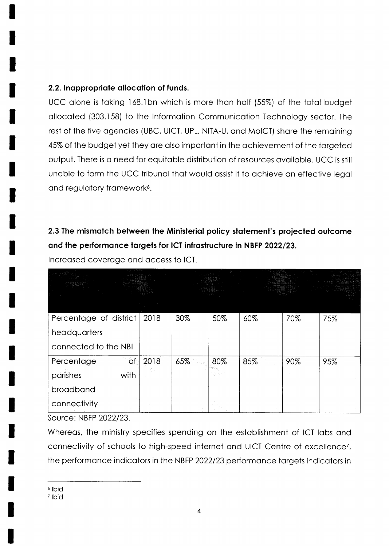### 2.2. Inappropriate allocation of funds.

UCC alone is taking 168.1bn which is more than half (55%) of the total budget allocated (303.158) to the Information Communication Technology sector. The rest of the five agencies (UBC, UICT, UPL, NITA-U, and MoICT) share the remaining 45% of the budget yet they are also important in the achievement of the targeted output. There is a need for equitable distribution of resources available. UCC is still unable to form the UCC tribunal that would assist it to achieve an effective legal and regulatory framework<sup>6</sup>.

# 2.3 The mismatch between the Ministerial policy statement's projected outcome and the performance targets for ICT infrastructure in NBFP 2022/23.

Increased coverage and access to ICT.

| Percentage of district |           | 2018 | 30% | 50% | 60% | 70% | 75% |
|------------------------|-----------|------|-----|-----|-----|-----|-----|
| headquarters           |           |      |     |     |     |     |     |
| connected to the NBI   |           |      |     |     |     |     |     |
| Percentage             | $\circ$ f | 2018 | 65% | 80% | 85% | 90% | 95% |
| parishes               | with      |      |     |     |     |     |     |
| broadband              |           |      |     |     |     |     |     |
| connectivity           |           |      |     |     |     |     |     |

Source: NBFP 2022/23.

Whereas, the ministry specifies spending on the establishment of ICT labs and connectivity of schools to high-speed internet and UICT Centre of excellence<sup>7</sup>, the performance indicators in the NBFP 2022/23 performance targets indicators in

<sup>&</sup>lt;sup>6</sup> Ibid

<sup>&</sup>lt;sup>7</sup> Ibid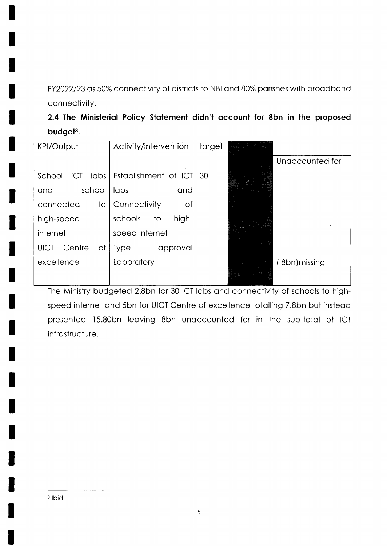FY2022123 os 50% connectivity of districts to NBI ond B0% porishes with broodbond connectivity.

2.4 The Ministerial Policy Statement didn't account for 8bn in the proposed budget<sup>8</sup>.

| KPI/Output                   | Activity/intervention   | target          |
|------------------------------|-------------------------|-----------------|
|                              |                         | Unaccounted for |
| labs<br>School<br><b>ICT</b> | Establishment of ICT    | 30              |
| school<br>and                | labs<br>and             |                 |
| connected<br>to              | Connectivity<br>Оf      |                 |
| high-speed                   | schools<br>high-<br>to  |                 |
| internet                     | speed internet          |                 |
| Centre<br><b>UICT</b><br>Оf  | <b>Type</b><br>approval |                 |
| excellence                   | Laboratory              | 8bn) missing    |
|                              |                         |                 |

The Ministry budgeted 2.8bn for 30 ICT labs and connectivity of schools to highspeed internet ond 5bn for UICT Centre of excellence totolling 7.8bn but insteod presented l5.BObn leoving 8bn unoccounted for in the sub-totol of ICI infrastructure.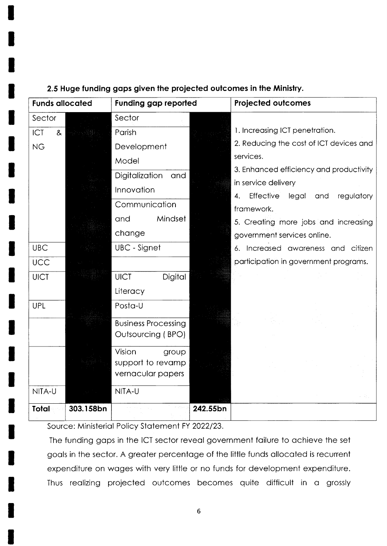|  | 2.5 Huge funding gaps given the projected outcomes in the Ministry. |
|--|---------------------------------------------------------------------|
|--|---------------------------------------------------------------------|

| <b>Funds allocated</b> |           | <b>Funding gap reported</b> |          | <b>Projected outcomes</b>                            |  |
|------------------------|-----------|-----------------------------|----------|------------------------------------------------------|--|
| Sector                 |           | Sector                      |          |                                                      |  |
| ICT<br>&               |           | Parish                      |          | 1. Increasing ICT penetration.                       |  |
| <b>NG</b>              |           | Development                 |          | 2. Reducing the cost of ICT devices and              |  |
|                        |           | Model                       |          | services.                                            |  |
|                        |           | Digitalization<br>and       |          | 3. Enhanced efficiency and productivity              |  |
|                        |           | Innovation                  |          | in service delivery                                  |  |
|                        |           | Communication               |          | <b>Effective</b><br>regulatory<br>legal<br>4.<br>and |  |
|                        |           | Mindset<br>and              |          | framework.                                           |  |
|                        |           | change                      |          | 5. Creating more jobs and increasing                 |  |
| <b>UBC</b>             |           |                             |          | government services online.                          |  |
|                        |           | UBC - Signet                |          | 6. Increased awareness and citizen                   |  |
| UCC                    |           |                             |          | participation in government programs.                |  |
| <b>UICT</b>            |           | <b>UICT</b><br>Digital      |          |                                                      |  |
|                        |           | Literacy                    |          |                                                      |  |
| UPL                    |           | Posta-U                     |          |                                                      |  |
|                        |           | <b>Business Processing</b>  |          |                                                      |  |
|                        |           | Outsourcing (BPO)           |          |                                                      |  |
|                        |           | Vision<br>group             |          |                                                      |  |
|                        |           | support to revamp           |          |                                                      |  |
|                        |           | vernacular papers           |          |                                                      |  |
| NITA-U                 |           | NITA-U                      |          |                                                      |  |
| Total                  | 303.158bn |                             | 242.55bn |                                                      |  |

Source: Ministerial Policy Statement FY 2022/23.

The funding gaps in the ICT sector reveal government failure to achieve the set goals in the sector. A greater percentage of the little funds allocated is recurrent expenditure on wages with very little or no funds for development expenditure. Thus realizing projected outcomes becomes quite difficult in a grossly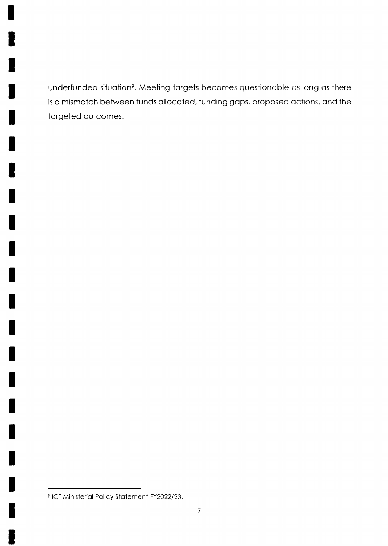underfunded situation<sup>9</sup>. Meeting targets becomes questionable as long as there is a mismatch between funds allocated, funding gaps, proposed actions, and the torgeted outcomes.

<sup>&</sup>lt;sup>9</sup> ICT Ministerial Policy Statement FY2022/23.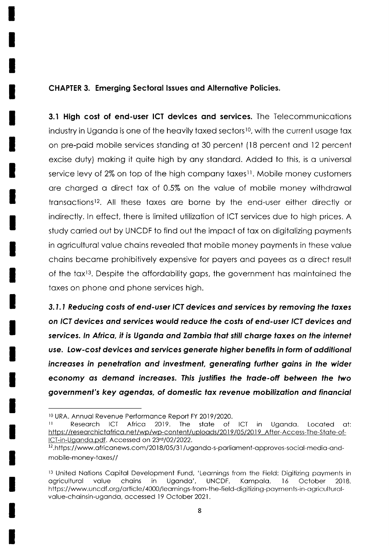### **CHAPTER 3. Emerging Sectoral Issues and Alternative Policies.**

3.1 High cost of end-user ICT devices and services. The Telecommunications industry in Uganda is one of the heavily taxed sectors<sup>10</sup>, with the current usage tax on pre-paid mobile services standing at 30 percent (18 percent and 12 percent excise duty) making it quite high by any standard. Added to this, is a universal service levy of 2% on top of the high company taxes<sup>11</sup>. Mobile money customers are charged a direct tax of 0.5% on the value of mobile money withdrawal transactions<sup>12</sup>. All these taxes are borne by the end-user either directly or indirectly. In effect, there is limited utilization of ICT services due to high prices. A study carried out by UNCDF to find out the impact of tax on digitalizing payments in agricultural value chains revealed that mobile money payments in these value chains became prohibitively expensive for payers and payees as a direct result of the tax<sup>13</sup>. Despite the affordability gaps, the government has maintained the taxes on phone and phone services high.

3.1.1 Reducing costs of end-user ICT devices and services by removing the taxes on ICT devices and services would reduce the costs of end-user ICT devices and services. In Africa, it is Uganda and Zambia that still charge taxes on the internet use. Low-cost devices and services generate higher benefits in form of additional increases in penetration and investment, generating further gains in the wider economy as demand increases. This justifies the trade-off between the two government's key agendas, of domestic tax revenue mobilization and financial

<sup>&</sup>lt;sup>10</sup> URA. Annual Revenue Performance Report FY 2019/2020.

 $\overline{11}$ **Research ICT** Africa 2019. The state of ICT in Uganda. Located at: https://researchictafrica.net/wp/wp-content/uploads/2019/05/2019\_After-Access-The-State-of-ICT-in-Uganda.pdf. Accessed on 23rd/02/2022.

<sup>12.</sup>https://www.africanews.com/2018/05/31/uganda-s-parliament-approves-social-media-andmobile-money-taxes//

<sup>&</sup>lt;sup>13</sup> United Nations Capital Development Fund, 'Learnings from the Field: Digitizing payments in agricultural value chains in Uganda', UNCDF, Kampala,  $16$ October 2018, https://www.uncdf.org/article/4000/learnings-from-the-field-digitizing-payments-in-agriculturalvalue-chainsin-uganda, accessed 19 October 2021.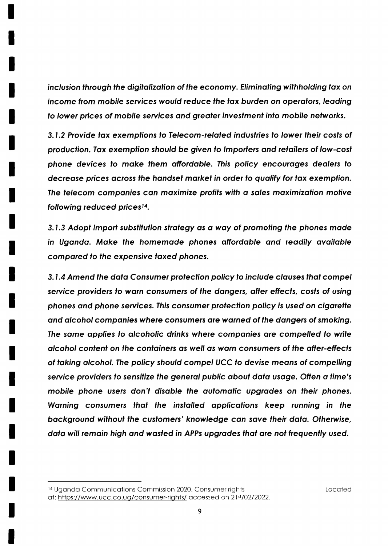inclusion through the digitalization of the economy. Eliminating withholding tax on income from mobile services would reduce the tax burden on operators, leading to lower prices of mobile services and greater investment into mobile networks.

3.1.2 Provide tax exemptions to Telecom-related industries to lower their costs of production. Tax exemption should be given to Importers and retailers of low-cost phone devices to make them affordable. This policy encourages dealers to decrease prices across the handset market in order to qualify for tax exemption. The telecom companies can maximize profits with a sales maximization motive following reduced prices<sup>14</sup>.

3.1.3 Adopt import substitution strategy as a way of promoting the phones made in Uganda. Make the homemade phones affordable and readily available compared to the expensive taxed phones.

3.1.4 Amend the data Consumer protection policy to include clauses that compel service providers to warn consumers of the dangers, after effects, costs of using phones and phone services. This consumer protection policy is used on cigarette and alcohol companies where consumers are warned of the dangers of smoking. The same applies to alcoholic drinks where companies are compelled to write alcohol content on the containers as well as warn consumers of the after-effects of taking alcohol. The policy should compel UCC to devise means of compelling service providers to sensitize the general public about data usage. Often a time's mobile phone users don't disable the automatic upgrades on their phones. Warning consumers that the installed applications keep running in the background without the customers' knowledge can save their data. Otherwise, data will remain high and wasted in APPs upgrades that are not frequently used.

<sup>&</sup>lt;sup>14</sup> Uganda Communications Commission 2020. Consumer rights at: https://www.ucc.co.ug/consumer-rights/ accessed on 21st/02/2022.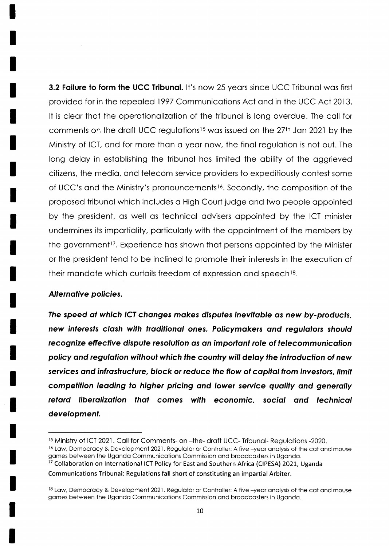3.2 Failure to form the UCC Tribunal. It's now 25 years since UCC Tribunal was first provided for in the repealed 1997 Communications Act and in the UCC Act 2013. It is clear that the operationalization of the tribunal is long overdue. The call for comments on the draft UCC regulations<sup>15</sup> was issued on the 27<sup>th</sup> Jan 2021 by the Ministry of ICT, and for more than a year now, the final regulation is not out. The long delay in establishing the tribunal has limited the ability of the aggrieved citizens, the media, and telecom service providers to expeditiously contest some of UCC's and the Ministry's pronouncements<sup>16</sup>. Secondly, the composition of the proposed tribunal which includes a High Court judge and two people appointed by the president, as well as technical advisers appointed by the ICT minister undermines its impartiality, particularly with the appointment of the members by the government<sup>17</sup>. Experience has shown that persons appointed by the Minister or the president tend to be inclined to promote their interests in the execution of their mandate which curtails freedom of expression and speech<sup>18</sup>.

#### **Alternative policies.**

The speed at which ICT changes makes disputes inevitable as new by-products, new interests clash with traditional ones. Policymakers and regulators should recognize effective dispute resolution as an important role of telecommunication policy and regulation without which the country will delay the introduction of new services and infrastructure, block or reduce the flow of capital from investors, limit competition leading to higher pricing and lower service quality and generally retard liberalization that comes with economic, social and technical development.

<sup>&</sup>lt;sup>15</sup> Ministry of ICT 2021. Call for Comments- on -the- draft UCC- Tribunal- Reaulations -2020.

<sup>&</sup>lt;sup>16</sup> Law, Democracy & Development 2021. Regulator or Controller: A five -year analysis of the cat and mouse games between the Uganda Communications Commission and broadcasters in Uganda.

<sup>&</sup>lt;sup>17</sup> Collaboration on International ICT Policy for East and Southern Africa (CIPESA) 2021, Uganda

Communications Tribunal: Regulations fall short of constituting an impartial Arbiter.

<sup>18</sup> Law, Democracy & Development 2021. Regulator or Controller: A five -year analysis of the cat and mouse games between the Uganda Communications Commission and broadcasters in Uganda.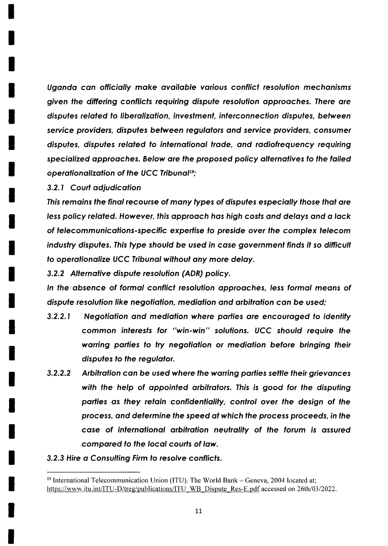Uganda can officially make available various conflict resolution mechanisms given the differing conflicts requiring dispute resolution approaches. There are disputes related to liberalization, investment, interconnection disputes, between service providers, disputes between regulators and service providers, consumer disputes, disputes related to international trade, and radiofrequency requiring specialized approaches. Below are the proposed policy alternatives to the failed operationalization of the UCC Tribunal<sup>19</sup>;

3.2.1 Court adjudication

This remains the final recourse of many types of disputes especially those that are less policy related. However, this approach has high costs and delays and a lack of telecommunications-specific expertise to preside over the complex telecom industry disputes. This type should be used in case government finds it so difficult to operationalize UCC Tribunal without any more delay.

3.2.2 Alternative dispute resolution (ADR) policy.

In the absence of formal conflict resolution approaches, less formal means of dispute resolution like negotiation, mediation and arbitration can be used;

- $3.2.2.1$ Negotiation and mediation where parties are encouraged to identify common interests for "win-win" solutions. UCC should require the warring parties to try negotiation or mediation before bringing their disputes to the regulator.
- $3.2.2.2$ Arbitration can be used where the warring parties settle their grievances with the help of appointed arbitrators. This is good for the disputing parties as they retain confidentiality, control over the design of the process, and determine the speed at which the process proceeds, in the case of international arbitration neutrality of the forum is assured compared to the local courts of law.

#### 3.2.3 Hire a Consulting Firm to resolve conflicts.

 $19$  International Telecommunication Union (ITU). The World Bank – Geneva, 2004 located at; https://www.itu.int/ITU-D/treg/publications/ITU WB Dispute Res-E.pdf accessed on 26th/03/2022.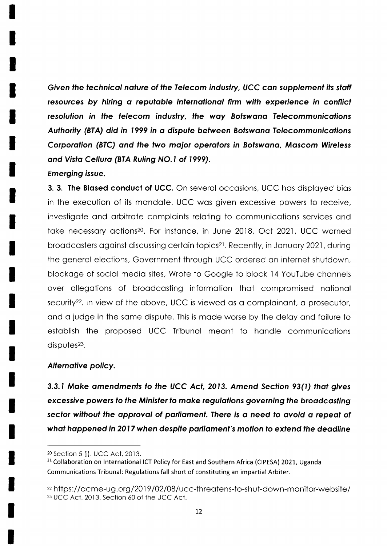Given the technical nature of the Telecom industry, UCC can supplement its staff resources by hiring a reputable international firm with experience in conflict resolution in the telecom industry, the way Botswana Telecommunications Authority (BTA) did in 1999 in a dispute between Botswana Telecommunications Corporation (BTC) and the two major operators in Botswana, Mascom Wireless and Vista Cellura (BTA Ruling NO.1 of 1999).

#### **Emerging issue.**

3. 3. The Biased conduct of UCC. On several occasions, UCC has displayed bias in the execution of its mandate. UCC was given excessive powers to receive, investigate and arbitrate complaints relating to communications services and take necessary actions<sup>20</sup>. For instance, in June 2018, Oct 2021, UCC warned broadcasters against discussing certain topics<sup>21</sup>. Recently, in January 2021, during the general elections, Government through UCC ordered an internet shutdown, blockage of social media sites, Wrote to Google to block 14 YouTube channels over allegations of broadcasting information that compromised national security<sup>22</sup>. In view of the above, UCC is viewed as a complainant, a prosecutor, and a judge in the same dispute. This is made worse by the delay and failure to establish the proposed UCC Tribunal meant to handle communications disputes<sup>23</sup>.

#### **Alternative policy.**

3.3.1 Make amendments to the UCC Act, 2013. Amend Section 93(1) that gives excessive powers to the Minister to make regulations governing the broadcasting sector without the approval of parliament. There is a need to avoid a repeat of what happened in 2017 when despite parliament's motion to extend the deadline

<sup>&</sup>lt;sup>20</sup> Section 5 (j). UCC Act, 2013.

<sup>&</sup>lt;sup>21</sup> Collaboration on International ICT Policy for East and Southern Africa (CIPESA) 2021, Uganda Communications Tribunal: Regulations fall short of constituting an impartial Arbiter.

<sup>&</sup>lt;sup>22</sup> https://acme-ug.org/2019/02/08/ucc-threatens-to-shut-down-monitor-website/ <sup>23</sup> UCC Act, 2013. Section 60 of the UCC Act.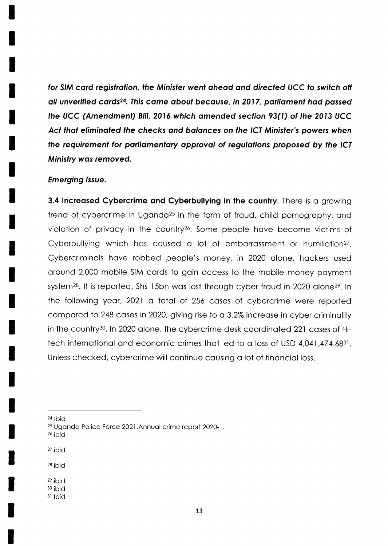for SIM card registration, the Minister went ahead and directed UCC to switch off all unverified cards<sup>24</sup>. This came about because, in 2017, parliament had passed the UCC (Amendment) Bill, 2016 which amended section 93(1) of the 2013 UCC Act that eliminated the checks and balances on the ICT Minister's powers when the requirement for parliamentary approval of regulations proposed by the ICT Ministry was removed.

#### **Emerging Issue.**

3.4 Increased Cybercrime and Cyberbullying in the country. There is a growing trend of cybercrime in Uganda<sup>25</sup> in the form of fraud, child pornography, and violation of privacy in the country<sup>26</sup>. Some people have become victims of Cyberbullying which has caused a lot of embarrassment or humiliation<sup>27</sup>. Cybercriminals have robbed people's money, in 2020 alone, hackers used around 2,000 mobile SIM cards to gain access to the mobile money payment system<sup>28</sup>. It is reported, Shs 15bn was lost through cyber fraud in 2020 alone<sup>29</sup>. In the following year, 2021 a total of 256 cases of cybercrime were reported compared to 248 cases in 2020, giving rise to a 3.2% increase in cyber criminality in the country<sup>30</sup>. In 2020 alone, the cybercrime desk coordinated 221 cases of Hitech international and economic crimes that led to a loss of USD 4,041,474.6831. Unless checked, cybercrime will continue causing a lot of financial loss.

<sup>24</sup> Ibid

- $26$  ibid
- $27$  ibid
- $28$  ibid
- $29$  ibid
- <sup>30</sup> ibid
- $31$  Ibid

<sup>&</sup>lt;sup>25</sup> Uganda Police Force 2021. Annual crime report 2020-1.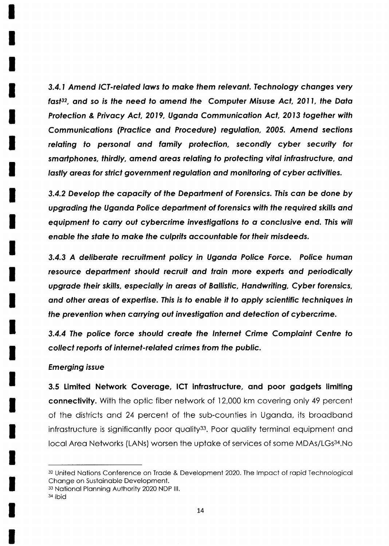3.4.1 Amend ICT-related laws to make them relevant. Technology changes very fast<sup>32</sup>, and so is the need to amend the Computer Misuse Act, 2011, the Data Protection & Privacy Act, 2019, Uganda Communication Act, 2013 together with Communications (Practice and Procedure) regulation, 2005. Amend sections relating to personal and family protection, secondly cyber security for smartphones, thirdly, amend areas relating to protecting vital infrastructure, and lastly areas for strict government regulation and monitoring of cyber activities.

3.4.2 Develop the capacity of the Department of Forensics. This can be done by upgroding the Ugondo Police deportment of forensics with the required skills ond eguipment to corry out cybercrime invesfigofions to a conclusive end. Ihis will enable the state to make the culprits accountable for their misdeeds.

3.4.3 A deliberate recruitment policy in Uganda Police Force. Police human resource department should recruit and train more experts and periodically upgrade their skills, especially in areas of Ballistic, Handwriting, Cyber forensics, and other areas of expertise. This is to enable it to apply scientific techniques in fhe prevention when corrying ouf invesfigotion ond defeclion of cybercrime.

3.4.4 The police force should create the Internet Crime Complaint Centre to collect reports of internet-related crimes from the public.

#### Emerging issue

3.5 Limited Network Coverage, ICT infrastructure, and poor gadgets limiting connectivity. With the optic fiber network of 12,000 km covering only 49 percent of the districts ond 24 percent of the sub-counties in Ugondo, its broodbond infrastructure is significantly poor quality<sup>33</sup>. Poor quality terminal equipment and local Area Networks (LANs) worsen the uptake of services of some MDAs/LGs<sup>34</sup>.No

<sup>&</sup>lt;sup>32</sup> United Nations Conference on Trade & Development 2020. The Impact of rapid Technological Change on Sustainable Development.

<sup>33</sup> National Planning Authority 2020 NDP III.

<sup>34</sup> Ibid